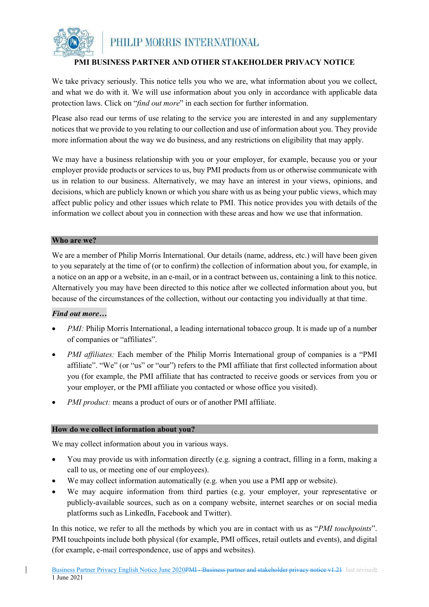

# PMI BUSINESS PARTNER AND OTHER STAKEHOLDER PRIVACY NOTICE

We take privacy seriously. This notice tells you who we are, what information about you we collect, and what we do with it. We will use information about you only in accordance with applicable data protection laws. Click on "find out more" in each section for further information.

Please also read our terms of use relating to the service you are interested in and any supplementary notices that we provide to you relating to our collection and use of information about you. They provide more information about the way we do business, and any restrictions on eligibility that may apply.

We may have a business relationship with you or your employer, for example, because you or your employer provide products or services to us, buy PMI products from us or otherwise communicate with us in relation to our business. Alternatively, we may have an interest in your views, opinions, and decisions, which are publicly known or which you share with us as being your public views, which may affect public policy and other issues which relate to PMI. This notice provides you with details of the information we collect about you in connection with these areas and how we use that information.

#### Who are we?

We are a member of Philip Morris International. Our details (name, address, etc.) will have been given to you separately at the time of (or to confirm) the collection of information about you, for example, in a notice on an app or a website, in an e-mail, or in a contract between us, containing a link to this notice. Alternatively you may have been directed to this notice after we collected information about you, but because of the circumstances of the collection, without our contacting you individually at that time.

#### Find out more…

- PMI: Philip Morris International, a leading international tobacco group. It is made up of a number of companies or "affiliates".
- PMI affiliates: Each member of the Philip Morris International group of companies is a "PMI affiliate". "We" (or "us" or "our") refers to the PMI affiliate that first collected information about you (for example, the PMI affiliate that has contracted to receive goods or services from you or your employer, or the PMI affiliate you contacted or whose office you visited).
- PMI product: means a product of ours or of another PMI affiliate.

### How do we collect information about you?

We may collect information about you in various ways.

- You may provide us with information directly (e.g. signing a contract, filling in a form, making a call to us, or meeting one of our employees).
- We may collect information automatically (e.g. when you use a PMI app or website).
- We may acquire information from third parties (e.g. your employer, your representative or publicly-available sources, such as on a company website, internet searches or on social media platforms such as LinkedIn, Facebook and Twitter).

In this notice, we refer to all the methods by which you are in contact with us as "*PMI touchpoints*". PMI touchpoints include both physical (for example, PMI offices, retail outlets and events), and digital (for example, e-mail correspondence, use of apps and websites).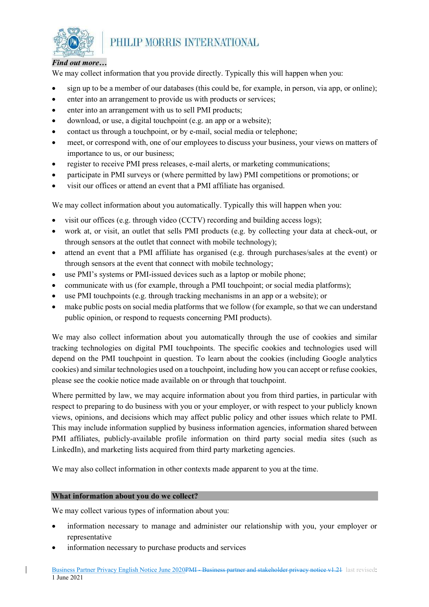

#### Find out more…

We may collect information that you provide directly. Typically this will happen when you:

- sign up to be a member of our databases (this could be, for example, in person, via app, or online);
- enter into an arrangement to provide us with products or services;
- enter into an arrangement with us to sell PMI products;
- download, or use, a digital touchpoint (e.g. an app or a website);
- contact us through a touchpoint, or by e-mail, social media or telephone;
- meet, or correspond with, one of our employees to discuss your business, your views on matters of importance to us, or our business;
- register to receive PMI press releases, e-mail alerts, or marketing communications;
- participate in PMI surveys or (where permitted by law) PMI competitions or promotions; or
- visit our offices or attend an event that a PMI affiliate has organised.

We may collect information about you automatically. Typically this will happen when you:

- visit our offices (e.g. through video (CCTV) recording and building access logs);
- work at, or visit, an outlet that sells PMI products (e.g. by collecting your data at check-out, or through sensors at the outlet that connect with mobile technology);
- attend an event that a PMI affiliate has organised (e.g. through purchases/sales at the event) or through sensors at the event that connect with mobile technology;
- use PMI's systems or PMI-issued devices such as a laptop or mobile phone;
- communicate with us (for example, through a PMI touchpoint; or social media platforms);
- use PMI touchpoints (e.g. through tracking mechanisms in an app or a website); or
- make public posts on social media platforms that we follow (for example, so that we can understand public opinion, or respond to requests concerning PMI products).

We may also collect information about you automatically through the use of cookies and similar tracking technologies on digital PMI touchpoints. The specific cookies and technologies used will depend on the PMI touchpoint in question. To learn about the cookies (including Google analytics cookies) and similar technologies used on a touchpoint, including how you can accept or refuse cookies, please see the cookie notice made available on or through that touchpoint.

Where permitted by law, we may acquire information about you from third parties, in particular with respect to preparing to do business with you or your employer, or with respect to your publicly known views, opinions, and decisions which may affect public policy and other issues which relate to PMI. This may include information supplied by business information agencies, information shared between PMI affiliates, publicly-available profile information on third party social media sites (such as LinkedIn), and marketing lists acquired from third party marketing agencies.

We may also collect information in other contexts made apparent to you at the time.

### What information about you do we collect?

We may collect various types of information about you:

- information necessary to manage and administer our relationship with you, your employer or representative
- information necessary to purchase products and services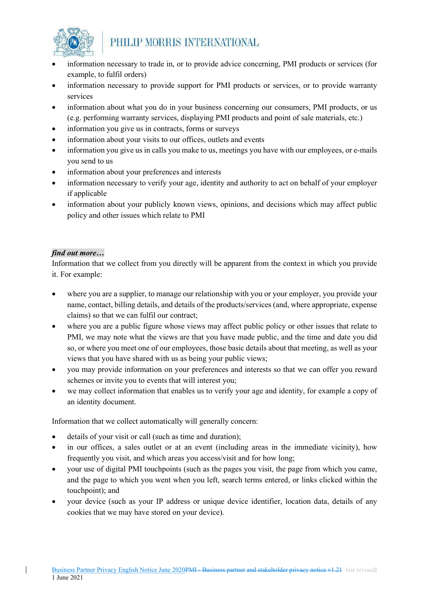

- information necessary to trade in, or to provide advice concerning, PMI products or services (for example, to fulfil orders)
- information necessary to provide support for PMI products or services, or to provide warranty services
- information about what you do in your business concerning our consumers, PMI products, or us (e.g. performing warranty services, displaying PMI products and point of sale materials, etc.)
- information you give us in contracts, forms or surveys
- information about your visits to our offices, outlets and events
- information you give us in calls you make to us, meetings you have with our employees, or e-mails you send to us
- information about your preferences and interests
- information necessary to verify your age, identity and authority to act on behalf of your employer if applicable
- information about your publicly known views, opinions, and decisions which may affect public policy and other issues which relate to PMI

### find out more…

Information that we collect from you directly will be apparent from the context in which you provide it. For example:

- where you are a supplier, to manage our relationship with you or your employer, you provide your name, contact, billing details, and details of the products/services (and, where appropriate, expense claims) so that we can fulfil our contract;
- where you are a public figure whose views may affect public policy or other issues that relate to PMI, we may note what the views are that you have made public, and the time and date you did so, or where you meet one of our employees, those basic details about that meeting, as well as your views that you have shared with us as being your public views;
- you may provide information on your preferences and interests so that we can offer you reward schemes or invite you to events that will interest you;
- we may collect information that enables us to verify your age and identity, for example a copy of an identity document.

Information that we collect automatically will generally concern:

- details of your visit or call (such as time and duration);
- in our offices, a sales outlet or at an event (including areas in the immediate vicinity), how frequently you visit, and which areas you access/visit and for how long;
- your use of digital PMI touchpoints (such as the pages you visit, the page from which you came, and the page to which you went when you left, search terms entered, or links clicked within the touchpoint); and
- your device (such as your IP address or unique device identifier, location data, details of any cookies that we may have stored on your device).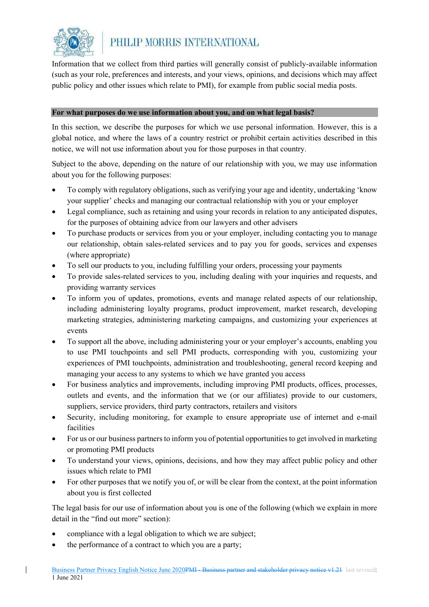

Information that we collect from third parties will generally consist of publicly-available information (such as your role, preferences and interests, and your views, opinions, and decisions which may affect public policy and other issues which relate to PMI), for example from public social media posts.

#### For what purposes do we use information about you, and on what legal basis?

In this section, we describe the purposes for which we use personal information. However, this is a global notice, and where the laws of a country restrict or prohibit certain activities described in this notice, we will not use information about you for those purposes in that country.

Subject to the above, depending on the nature of our relationship with you, we may use information about you for the following purposes:

- To comply with regulatory obligations, such as verifying your age and identity, undertaking 'know your supplier' checks and managing our contractual relationship with you or your employer
- Legal compliance, such as retaining and using your records in relation to any anticipated disputes, for the purposes of obtaining advice from our lawyers and other advisers
- To purchase products or services from you or your employer, including contacting you to manage our relationship, obtain sales-related services and to pay you for goods, services and expenses (where appropriate)
- To sell our products to you, including fulfilling your orders, processing your payments
- To provide sales-related services to you, including dealing with your inquiries and requests, and providing warranty services
- To inform you of updates, promotions, events and manage related aspects of our relationship, including administering loyalty programs, product improvement, market research, developing marketing strategies, administering marketing campaigns, and customizing your experiences at events
- To support all the above, including administering your or your employer's accounts, enabling you to use PMI touchpoints and sell PMI products, corresponding with you, customizing your experiences of PMI touchpoints, administration and troubleshooting, general record keeping and managing your access to any systems to which we have granted you access
- For business analytics and improvements, including improving PMI products, offices, processes, outlets and events, and the information that we (or our affiliates) provide to our customers, suppliers, service providers, third party contractors, retailers and visitors
- Security, including monitoring, for example to ensure appropriate use of internet and e-mail facilities
- For us or our business partners to inform you of potential opportunities to get involved in marketing or promoting PMI products
- To understand your views, opinions, decisions, and how they may affect public policy and other issues which relate to PMI
- For other purposes that we notify you of, or will be clear from the context, at the point information about you is first collected

The legal basis for our use of information about you is one of the following (which we explain in more detail in the "find out more" section):

- compliance with a legal obligation to which we are subject;
- the performance of a contract to which you are a party;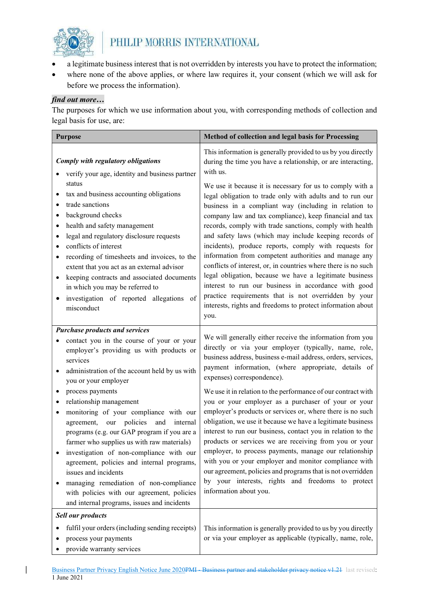

- a legitimate business interest that is not overridden by interests you have to protect the information;
- where none of the above applies, or where law requires it, your consent (which we will ask for before we process the information).

### find out more…

 $\overline{\phantom{a}}$ 

The purposes for which we use information about you, with corresponding methods of collection and legal basis for use, are:

| <b>Purpose</b>                                                                                                                                                                                                                                                                                                                                                                                                                                                                                                                                       | Method of collection and legal basis for Processing                                                                                                                                                                                                                                                                                                                                                                                                                                                                                                                                                                                                                                                                                                                                                   |  |
|------------------------------------------------------------------------------------------------------------------------------------------------------------------------------------------------------------------------------------------------------------------------------------------------------------------------------------------------------------------------------------------------------------------------------------------------------------------------------------------------------------------------------------------------------|-------------------------------------------------------------------------------------------------------------------------------------------------------------------------------------------------------------------------------------------------------------------------------------------------------------------------------------------------------------------------------------------------------------------------------------------------------------------------------------------------------------------------------------------------------------------------------------------------------------------------------------------------------------------------------------------------------------------------------------------------------------------------------------------------------|--|
| Comply with regulatory obligations<br>verify your age, identity and business partner                                                                                                                                                                                                                                                                                                                                                                                                                                                                 | This information is generally provided to us by you directly<br>during the time you have a relationship, or are interacting,<br>with us.                                                                                                                                                                                                                                                                                                                                                                                                                                                                                                                                                                                                                                                              |  |
| status<br>tax and business accounting obligations<br>$\bullet$<br>trade sanctions<br>$\bullet$<br>background checks<br>$\bullet$<br>health and safety management<br>$\bullet$<br>legal and regulatory disclosure requests<br>$\bullet$<br>conflicts of interest<br>$\bullet$<br>recording of timesheets and invoices, to the<br>$\bullet$<br>extent that you act as an external advisor<br>keeping contracts and associated documents<br>$\bullet$<br>in which you may be referred to<br>investigation of reported allegations of<br>٠<br>misconduct | We use it because it is necessary for us to comply with a<br>legal obligation to trade only with adults and to run our<br>business in a compliant way (including in relation to<br>company law and tax compliance), keep financial and tax<br>records, comply with trade sanctions, comply with health<br>and safety laws (which may include keeping records of<br>incidents), produce reports, comply with requests for<br>information from competent authorities and manage any<br>conflicts of interest, or, in countries where there is no such<br>legal obligation, because we have a legitimate business<br>interest to run our business in accordance with good<br>practice requirements that is not overridden by your<br>interests, rights and freedoms to protect information about<br>you. |  |
| <b>Purchase products and services</b><br>contact you in the course of your or your<br>employer's providing us with products or<br>services<br>administration of the account held by us with<br>$\bullet$<br>you or your employer                                                                                                                                                                                                                                                                                                                     | We will generally either receive the information from you<br>directly or via your employer (typically, name, role,<br>business address, business e-mail address, orders, services,<br>payment information, (where appropriate, details of<br>expenses) correspondence).                                                                                                                                                                                                                                                                                                                                                                                                                                                                                                                               |  |
| process payments<br>$\bullet$<br>relationship management<br>$\bullet$<br>monitoring of your compliance with our<br>$\bullet$<br>policies<br>internal<br>agreement,<br>our<br>and<br>programs (e.g. our GAP program if you are a<br>farmer who supplies us with raw materials)<br>investigation of non-compliance with our<br>agreement, policies and internal programs,<br>issues and incidents<br>managing remediation of non-compliance<br>٠<br>with policies with our agreement, policies<br>and internal programs, issues and incidents          | We use it in relation to the performance of our contract with<br>you or your employer as a purchaser of your or your<br>employer's products or services or, where there is no such<br>obligation, we use it because we have a legitimate business<br>interest to run our business, contact you in relation to the<br>products or services we are receiving from you or your<br>employer, to process payments, manage our relationship<br>with you or your employer and monitor compliance with<br>our agreement, policies and programs that is not overridden<br>by your interests, rights and freedoms to protect<br>information about you.                                                                                                                                                          |  |
| <b>Sell our products</b><br>fulfil your orders (including sending receipts)<br>process your payments<br>provide warranty services                                                                                                                                                                                                                                                                                                                                                                                                                    | This information is generally provided to us by you directly<br>or via your employer as applicable (typically, name, role,                                                                                                                                                                                                                                                                                                                                                                                                                                                                                                                                                                                                                                                                            |  |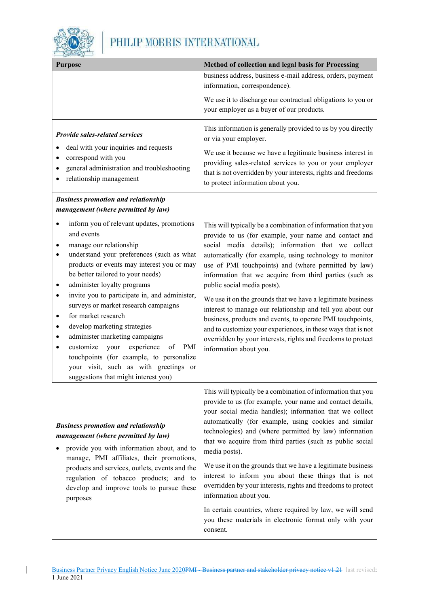

 $\overline{\phantom{a}}$ 

# PHILIP MORRIS INTERNATIONAL

| <b>Purpose</b>                                                                                                                                                                                                                                                                                                                                                                                                                                                                                                                                                                                                                                                                                                 | Method of collection and legal basis for Processing                                                                                                                                                                                                                                                                                                                                                                                                                                                                                                                                                                                                                                                                                           |
|----------------------------------------------------------------------------------------------------------------------------------------------------------------------------------------------------------------------------------------------------------------------------------------------------------------------------------------------------------------------------------------------------------------------------------------------------------------------------------------------------------------------------------------------------------------------------------------------------------------------------------------------------------------------------------------------------------------|-----------------------------------------------------------------------------------------------------------------------------------------------------------------------------------------------------------------------------------------------------------------------------------------------------------------------------------------------------------------------------------------------------------------------------------------------------------------------------------------------------------------------------------------------------------------------------------------------------------------------------------------------------------------------------------------------------------------------------------------------|
|                                                                                                                                                                                                                                                                                                                                                                                                                                                                                                                                                                                                                                                                                                                | business address, business e-mail address, orders, payment<br>information, correspondence).                                                                                                                                                                                                                                                                                                                                                                                                                                                                                                                                                                                                                                                   |
|                                                                                                                                                                                                                                                                                                                                                                                                                                                                                                                                                                                                                                                                                                                | We use it to discharge our contractual obligations to you or<br>your employer as a buyer of our products.                                                                                                                                                                                                                                                                                                                                                                                                                                                                                                                                                                                                                                     |
| <b>Provide sales-related services</b><br>deal with your inquiries and requests<br>correspond with you<br>general administration and troubleshooting<br>relationship management                                                                                                                                                                                                                                                                                                                                                                                                                                                                                                                                 | This information is generally provided to us by you directly<br>or via your employer.<br>We use it because we have a legitimate business interest in<br>providing sales-related services to you or your employer<br>that is not overridden by your interests, rights and freedoms<br>to protect information about you.                                                                                                                                                                                                                                                                                                                                                                                                                        |
| <b>Business promotion and relationship</b><br>management (where permitted by law)                                                                                                                                                                                                                                                                                                                                                                                                                                                                                                                                                                                                                              |                                                                                                                                                                                                                                                                                                                                                                                                                                                                                                                                                                                                                                                                                                                                               |
| inform you of relevant updates, promotions<br>$\bullet$<br>and events<br>manage our relationship<br>$\bullet$<br>understand your preferences (such as what<br>$\bullet$<br>products or events may interest you or may<br>be better tailored to your needs)<br>administer loyalty programs<br>٠<br>invite you to participate in, and administer,<br>$\bullet$<br>surveys or market research campaigns<br>for market research<br>٠<br>develop marketing strategies<br>$\bullet$<br>administer marketing campaigns<br>٠<br>experience<br>customize<br>your<br>of<br>PMI<br>$\bullet$<br>touchpoints (for example, to personalize<br>your visit, such as with greetings or<br>suggestions that might interest you) | This will typically be a combination of information that you<br>provide to us (for example, your name and contact and<br>social media details); information that we collect<br>automatically (for example, using technology to monitor<br>use of PMI touchpoints) and (where permitted by law)<br>information that we acquire from third parties (such as<br>public social media posts).<br>We use it on the grounds that we have a legitimate business<br>interest to manage our relationship and tell you about our<br>business, products and events, to operate PMI touchpoints,<br>and to customize your experiences, in these ways that is not<br>overridden by your interests, rights and freedoms to protect<br>information about you. |
| <b>Business promotion and relationship</b><br>management (where permitted by law)<br>provide you with information about, and to<br>manage, PMI affiliates, their promotions,<br>products and services, outlets, events and the<br>regulation of tobacco products; and to<br>develop and improve tools to pursue these<br>purposes                                                                                                                                                                                                                                                                                                                                                                              | This will typically be a combination of information that you<br>provide to us (for example, your name and contact details,<br>your social media handles); information that we collect<br>automatically (for example, using cookies and similar<br>technologies) and (where permitted by law) information<br>that we acquire from third parties (such as public social<br>media posts).<br>We use it on the grounds that we have a legitimate business<br>interest to inform you about these things that is not<br>overridden by your interests, rights and freedoms to protect<br>information about you.<br>In certain countries, where required by law, we will send<br>you these materials in electronic format only with your<br>consent.  |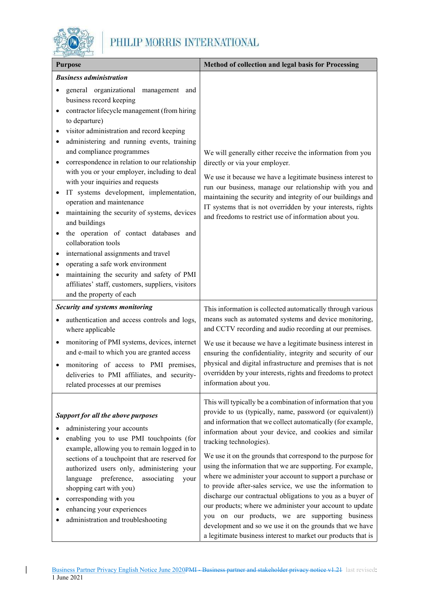

 $\overline{\phantom{a}}$ 

| <b>Purpose</b>                                                                                                                                                                                                                                                                                                                                                                                                                                                                                                                                                                                                                                                                                                                                                                                                                                                                                                                     | Method of collection and legal basis for Processing                                                                                                                                                                                                                                                                                                                                                                                                                                                                                                                                                                                                                                                                                                                                                                                            |
|------------------------------------------------------------------------------------------------------------------------------------------------------------------------------------------------------------------------------------------------------------------------------------------------------------------------------------------------------------------------------------------------------------------------------------------------------------------------------------------------------------------------------------------------------------------------------------------------------------------------------------------------------------------------------------------------------------------------------------------------------------------------------------------------------------------------------------------------------------------------------------------------------------------------------------|------------------------------------------------------------------------------------------------------------------------------------------------------------------------------------------------------------------------------------------------------------------------------------------------------------------------------------------------------------------------------------------------------------------------------------------------------------------------------------------------------------------------------------------------------------------------------------------------------------------------------------------------------------------------------------------------------------------------------------------------------------------------------------------------------------------------------------------------|
| <b>Business administration</b>                                                                                                                                                                                                                                                                                                                                                                                                                                                                                                                                                                                                                                                                                                                                                                                                                                                                                                     |                                                                                                                                                                                                                                                                                                                                                                                                                                                                                                                                                                                                                                                                                                                                                                                                                                                |
| general organizational<br>management and<br>business record keeping<br>contractor lifecycle management (from hiring<br>$\bullet$<br>to departure)<br>visitor administration and record keeping<br>$\bullet$<br>administering and running events, training<br>٠<br>and compliance programmes<br>correspondence in relation to our relationship<br>$\bullet$<br>with you or your employer, including to deal<br>with your inquiries and requests<br>IT systems development, implementation,<br>$\bullet$<br>operation and maintenance<br>maintaining the security of systems, devices<br>$\bullet$<br>and buildings<br>the operation of contact databases and<br>$\bullet$<br>collaboration tools<br>international assignments and travel<br>٠<br>operating a safe work environment<br>٠<br>maintaining the security and safety of PMI<br>$\bullet$<br>affiliates' staff, customers, suppliers, visitors<br>and the property of each | We will generally either receive the information from you<br>directly or via your employer.<br>We use it because we have a legitimate business interest to<br>run our business, manage our relationship with you and<br>maintaining the security and integrity of our buildings and<br>IT systems that is not overridden by your interests, rights<br>and freedoms to restrict use of information about you.                                                                                                                                                                                                                                                                                                                                                                                                                                   |
| Security and systems monitoring<br>authentication and access controls and logs,<br>$\bullet$<br>where applicable                                                                                                                                                                                                                                                                                                                                                                                                                                                                                                                                                                                                                                                                                                                                                                                                                   | This information is collected automatically through various<br>means such as automated systems and device monitoring,<br>and CCTV recording and audio recording at our premises.                                                                                                                                                                                                                                                                                                                                                                                                                                                                                                                                                                                                                                                               |
| monitoring of PMI systems, devices, internet<br>$\bullet$<br>and e-mail to which you are granted access<br>monitoring of access to PMI premises,<br>$\bullet$<br>deliveries to PMI affiliates, and security-<br>related processes at our premises                                                                                                                                                                                                                                                                                                                                                                                                                                                                                                                                                                                                                                                                                  | We use it because we have a legitimate business interest in<br>ensuring the confidentiality, integrity and security of our<br>physical and digital infrastructure and premises that is not<br>overridden by your interests, rights and freedoms to protect<br>information about you.                                                                                                                                                                                                                                                                                                                                                                                                                                                                                                                                                           |
| Support for all the above purposes<br>administering your accounts<br>enabling you to use PMI touchpoints (for<br>example, allowing you to remain logged in to<br>sections of a touchpoint that are reserved for<br>authorized users only, administering your<br>preference,<br>language<br>associating<br>your<br>shopping cart with you)<br>corresponding with you<br>٠<br>enhancing your experiences<br>administration and troubleshooting                                                                                                                                                                                                                                                                                                                                                                                                                                                                                       | This will typically be a combination of information that you<br>provide to us (typically, name, password (or equivalent))<br>and information that we collect automatically (for example,<br>information about your device, and cookies and similar<br>tracking technologies).<br>We use it on the grounds that correspond to the purpose for<br>using the information that we are supporting. For example,<br>where we administer your account to support a purchase or<br>to provide after-sales service, we use the information to<br>discharge our contractual obligations to you as a buyer of<br>our products; where we administer your account to update<br>you on our products, we are supporting business<br>development and so we use it on the grounds that we have<br>a legitimate business interest to market our products that is |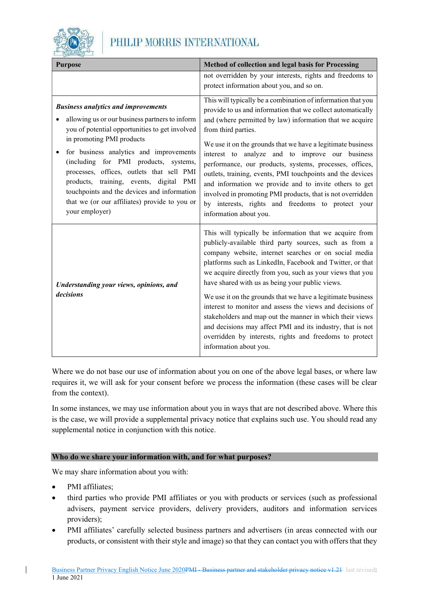

| <b>Purpose</b>                                                                                                                                                                                                                                                                                                                                                                                                                                                            | Method of collection and legal basis for Processing                                                                                                                                                                                                                                                                                                                                                                                                                                                                                                                                                                                                                                                |
|---------------------------------------------------------------------------------------------------------------------------------------------------------------------------------------------------------------------------------------------------------------------------------------------------------------------------------------------------------------------------------------------------------------------------------------------------------------------------|----------------------------------------------------------------------------------------------------------------------------------------------------------------------------------------------------------------------------------------------------------------------------------------------------------------------------------------------------------------------------------------------------------------------------------------------------------------------------------------------------------------------------------------------------------------------------------------------------------------------------------------------------------------------------------------------------|
|                                                                                                                                                                                                                                                                                                                                                                                                                                                                           | not overridden by your interests, rights and freedoms to<br>protect information about you, and so on.                                                                                                                                                                                                                                                                                                                                                                                                                                                                                                                                                                                              |
| <b>Business analytics and improvements</b><br>allowing us or our business partners to inform<br>you of potential opportunities to get involved<br>in promoting PMI products<br>for business analytics and improvements<br>(including for PMI products, systems,<br>processes, offices, outlets that sell PMI<br>products, training, events, digital PMI<br>touchpoints and the devices and information<br>that we (or our affiliates) provide to you or<br>your employer) | This will typically be a combination of information that you<br>provide to us and information that we collect automatically<br>and (where permitted by law) information that we acquire<br>from third parties.<br>We use it on the grounds that we have a legitimate business<br>interest to analyze and to improve our business<br>performance, our products, systems, processes, offices,<br>outlets, training, events, PMI touchpoints and the devices<br>and information we provide and to invite others to get<br>involved in promoting PMI products, that is not overridden<br>by interests, rights and freedoms to protect your<br>information about you.                                   |
| Understanding your views, opinions, and<br>decisions                                                                                                                                                                                                                                                                                                                                                                                                                      | This will typically be information that we acquire from<br>publicly-available third party sources, such as from a<br>company website, internet searches or on social media<br>platforms such as LinkedIn, Facebook and Twitter, or that<br>we acquire directly from you, such as your views that you<br>have shared with us as being your public views.<br>We use it on the grounds that we have a legitimate business<br>interest to monitor and assess the views and decisions of<br>stakeholders and map out the manner in which their views<br>and decisions may affect PMI and its industry, that is not<br>overridden by interests, rights and freedoms to protect<br>information about you. |

Where we do not base our use of information about you on one of the above legal bases, or where law requires it, we will ask for your consent before we process the information (these cases will be clear from the context).

In some instances, we may use information about you in ways that are not described above. Where this is the case, we will provide a supplemental privacy notice that explains such use. You should read any supplemental notice in conjunction with this notice.

### Who do we share your information with, and for what purposes?

We may share information about you with:

- PMI affiliates;
- third parties who provide PMI affiliates or you with products or services (such as professional advisers, payment service providers, delivery providers, auditors and information services providers);
- PMI affiliates' carefully selected business partners and advertisers (in areas connected with our products, or consistent with their style and image) so that they can contact you with offers that they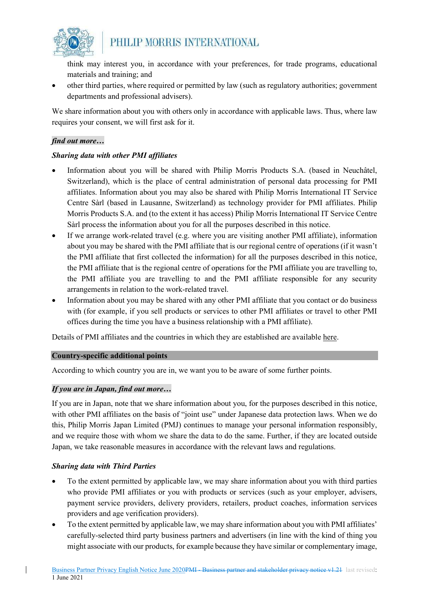

think may interest you, in accordance with your preferences, for trade programs, educational materials and training; and

 other third parties, where required or permitted by law (such as regulatory authorities; government departments and professional advisers).

We share information about you with others only in accordance with applicable laws. Thus, where law requires your consent, we will first ask for it.

# find out more…

## Sharing data with other PMI affiliates

- Information about you will be shared with Philip Morris Products S.A. (based in Neuchâtel, Switzerland), which is the place of central administration of personal data processing for PMI affiliates. Information about you may also be shared with Philip Morris International IT Service Centre Sàrl (based in Lausanne, Switzerland) as technology provider for PMI affiliates. Philip Morris Products S.A. and (to the extent it has access) Philip Morris International IT Service Centre Sàrl process the information about you for all the purposes described in this notice.
- If we arrange work-related travel (e.g. where you are visiting another PMI affiliate), information about you may be shared with the PMI affiliate that is our regional centre of operations (if it wasn't the PMI affiliate that first collected the information) for all the purposes described in this notice, the PMI affiliate that is the regional centre of operations for the PMI affiliate you are travelling to, the PMI affiliate you are travelling to and the PMI affiliate responsible for any security arrangements in relation to the work-related travel.
- Information about you may be shared with any other PMI affiliate that you contact or do business with (for example, if you sell products or services to other PMI affiliates or travel to other PMI offices during the time you have a business relationship with a PMI affiliate).

Details of PMI affiliates and the countries in which they are established are available here.

### Country-specific additional points

According to which country you are in, we want you to be aware of some further points.

### If you are in Japan, find out more…

If you are in Japan, note that we share information about you, for the purposes described in this notice, with other PMI affiliates on the basis of "joint use" under Japanese data protection laws. When we do this, Philip Morris Japan Limited (PMJ) continues to manage your personal information responsibly, and we require those with whom we share the data to do the same. Further, if they are located outside Japan, we take reasonable measures in accordance with the relevant laws and regulations.

### Sharing data with Third Parties

- To the extent permitted by applicable law, we may share information about you with third parties who provide PMI affiliates or you with products or services (such as your employer, advisers, payment service providers, delivery providers, retailers, product coaches, information services providers and age verification providers).
- To the extent permitted by applicable law, we may share information about you with PMI affiliates' carefully-selected third party business partners and advertisers (in line with the kind of thing you might associate with our products, for example because they have similar or complementary image,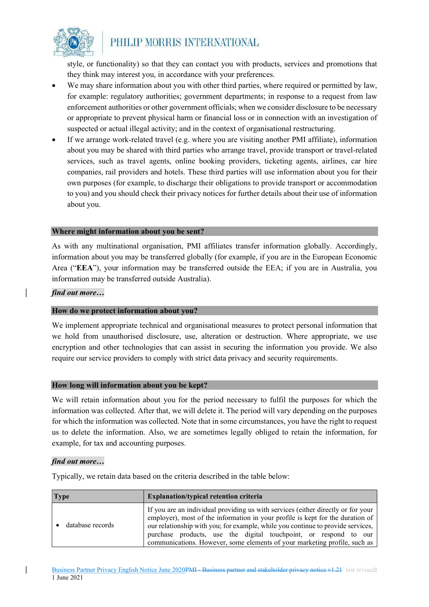

style, or functionality) so that they can contact you with products, services and promotions that they think may interest you, in accordance with your preferences.

- We may share information about you with other third parties, where required or permitted by law, for example: regulatory authorities; government departments; in response to a request from law enforcement authorities or other government officials; when we consider disclosure to be necessary or appropriate to prevent physical harm or financial loss or in connection with an investigation of suspected or actual illegal activity; and in the context of organisational restructuring.
- If we arrange work-related travel (e.g. where you are visiting another PMI affiliate), information about you may be shared with third parties who arrange travel, provide transport or travel-related services, such as travel agents, online booking providers, ticketing agents, airlines, car hire companies, rail providers and hotels. These third parties will use information about you for their own purposes (for example, to discharge their obligations to provide transport or accommodation to you) and you should check their privacy notices for further details about their use of information about you.

#### Where might information about you be sent?

As with any multinational organisation, PMI affiliates transfer information globally. Accordingly, information about you may be transferred globally (for example, if you are in the European Economic Area ("EEA"), your information may be transferred outside the EEA; if you are in Australia, you information may be transferred outside Australia).

### find out more…

### How do we protect information about you?

We implement appropriate technical and organisational measures to protect personal information that we hold from unauthorised disclosure, use, alteration or destruction. Where appropriate, we use encryption and other technologies that can assist in securing the information you provide. We also require our service providers to comply with strict data privacy and security requirements.

#### How long will information about you be kept?

We will retain information about you for the period necessary to fulfil the purposes for which the information was collected. After that, we will delete it. The period will vary depending on the purposes for which the information was collected. Note that in some circumstances, you have the right to request us to delete the information. Also, we are sometimes legally obliged to retain the information, for example, for tax and accounting purposes.

#### find out more…

Typically, we retain data based on the criteria described in the table below:

| <b>Type</b>      | <b>Explanation/typical retention criteria</b>                                                                                                                                                                                                                                                                                                                                                          |
|------------------|--------------------------------------------------------------------------------------------------------------------------------------------------------------------------------------------------------------------------------------------------------------------------------------------------------------------------------------------------------------------------------------------------------|
| database records | If you are an individual providing us with services (either directly or for your<br>employer), most of the information in your profile is kept for the duration of<br>our relationship with you; for example, while you continue to provide services,<br>purchase products, use the digital touchpoint, or respond to our<br>communications. However, some elements of your marketing profile, such as |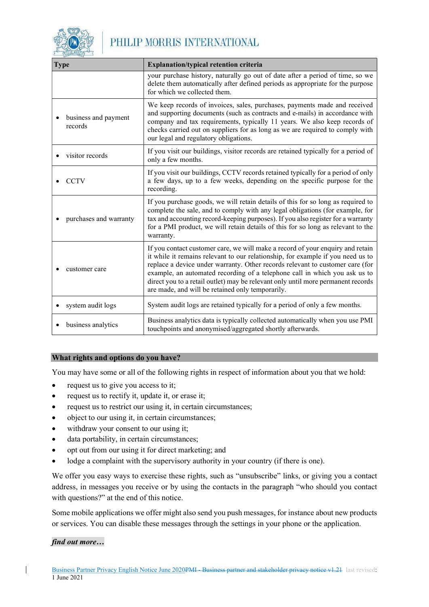

| <b>Type</b>                     | <b>Explanation/typical retention criteria</b>                                                                                                                                                                                                                                                                                                                                                                                                                            |
|---------------------------------|--------------------------------------------------------------------------------------------------------------------------------------------------------------------------------------------------------------------------------------------------------------------------------------------------------------------------------------------------------------------------------------------------------------------------------------------------------------------------|
|                                 | your purchase history, naturally go out of date after a period of time, so we<br>delete them automatically after defined periods as appropriate for the purpose<br>for which we collected them.                                                                                                                                                                                                                                                                          |
| business and payment<br>records | We keep records of invoices, sales, purchases, payments made and received<br>and supporting documents (such as contracts and e-mails) in accordance with<br>company and tax requirements, typically 11 years. We also keep records of<br>checks carried out on suppliers for as long as we are required to comply with<br>our legal and regulatory obligations.                                                                                                          |
| visitor records                 | If you visit our buildings, visitor records are retained typically for a period of<br>only a few months.                                                                                                                                                                                                                                                                                                                                                                 |
| <b>CCTV</b>                     | If you visit our buildings, CCTV records retained typically for a period of only<br>a few days, up to a few weeks, depending on the specific purpose for the<br>recording.                                                                                                                                                                                                                                                                                               |
| purchases and warranty          | If you purchase goods, we will retain details of this for so long as required to<br>complete the sale, and to comply with any legal obligations (for example, for<br>tax and accounting record-keeping purposes). If you also register for a warranty<br>for a PMI product, we will retain details of this for so long as relevant to the<br>warranty.                                                                                                                   |
| customer care                   | If you contact customer care, we will make a record of your enquiry and retain<br>it while it remains relevant to our relationship, for example if you need us to<br>replace a device under warranty. Other records relevant to customer care (for<br>example, an automated recording of a telephone call in which you ask us to<br>direct you to a retail outlet) may be relevant only until more permanent records<br>are made, and will be retained only temporarily. |
| system audit logs               | System audit logs are retained typically for a period of only a few months.                                                                                                                                                                                                                                                                                                                                                                                              |
| business analytics              | Business analytics data is typically collected automatically when you use PMI<br>touchpoints and anonymised/aggregated shortly afterwards.                                                                                                                                                                                                                                                                                                                               |

#### What rights and options do you have?

You may have some or all of the following rights in respect of information about you that we hold:

- request us to give you access to it;
- request us to rectify it, update it, or erase it;
- request us to restrict our using it, in certain circumstances;
- object to our using it, in certain circumstances;
- withdraw your consent to our using it;
- data portability, in certain circumstances;
- opt out from our using it for direct marketing; and
- lodge a complaint with the supervisory authority in your country (if there is one).

We offer you easy ways to exercise these rights, such as "unsubscribe" links, or giving you a contact address, in messages you receive or by using the contacts in the paragraph "who should you contact with questions?" at the end of this notice.

Some mobile applications we offer might also send you push messages, for instance about new products or services. You can disable these messages through the settings in your phone or the application.

#### find out more…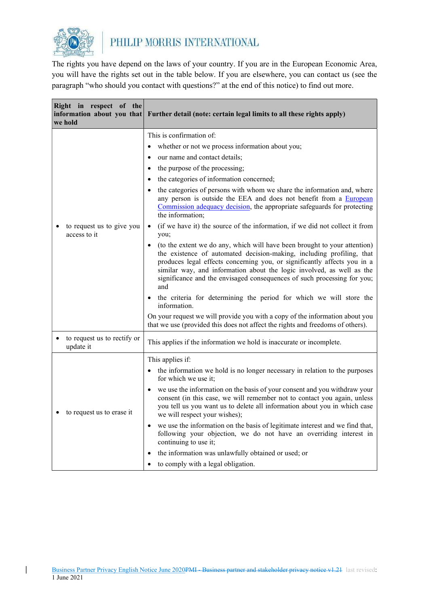

# PHILIP MORRIS INTERNATIONAL

The rights you have depend on the laws of your country. If you are in the European Economic Area, you will have the rights set out in the table below. If you are elsewhere, you can contact us (see the paragraph "who should you contact with questions?" at the end of this notice) to find out more.

| Right in respect of the<br>information about you that<br>we hold | Further detail (note: certain legal limits to all these rights apply)                                                                                                                                                                                                                                                                                                                                  |
|------------------------------------------------------------------|--------------------------------------------------------------------------------------------------------------------------------------------------------------------------------------------------------------------------------------------------------------------------------------------------------------------------------------------------------------------------------------------------------|
|                                                                  | This is confirmation of:                                                                                                                                                                                                                                                                                                                                                                               |
|                                                                  | whether or not we process information about you;                                                                                                                                                                                                                                                                                                                                                       |
|                                                                  | our name and contact details;<br>$\bullet$                                                                                                                                                                                                                                                                                                                                                             |
|                                                                  | the purpose of the processing;<br>$\bullet$                                                                                                                                                                                                                                                                                                                                                            |
|                                                                  | the categories of information concerned;                                                                                                                                                                                                                                                                                                                                                               |
| to request us to give you<br>$\bullet$<br>access to it           | the categories of persons with whom we share the information and, where<br>any person is outside the EEA and does not benefit from a European<br>Commission adequacy decision, the appropriate safeguards for protecting<br>the information;                                                                                                                                                           |
|                                                                  | (if we have it) the source of the information, if we did not collect it from<br>$\bullet$<br>you;                                                                                                                                                                                                                                                                                                      |
|                                                                  | (to the extent we do any, which will have been brought to your attention)<br>$\bullet$<br>the existence of automated decision-making, including profiling, that<br>produces legal effects concerning you, or significantly affects you in a<br>similar way, and information about the logic involved, as well as the<br>significance and the envisaged consequences of such processing for you;<br>and |
|                                                                  | the criteria for determining the period for which we will store the<br>information.                                                                                                                                                                                                                                                                                                                    |
|                                                                  | On your request we will provide you with a copy of the information about you<br>that we use (provided this does not affect the rights and freedoms of others).                                                                                                                                                                                                                                         |
| to request us to rectify or<br>update it                         | This applies if the information we hold is inaccurate or incomplete.                                                                                                                                                                                                                                                                                                                                   |
|                                                                  | This applies if:                                                                                                                                                                                                                                                                                                                                                                                       |
|                                                                  | the information we hold is no longer necessary in relation to the purposes<br>for which we use it;                                                                                                                                                                                                                                                                                                     |
| to request us to erase it                                        | we use the information on the basis of your consent and you withdraw your<br>consent (in this case, we will remember not to contact you again, unless<br>you tell us you want us to delete all information about you in which case<br>we will respect your wishes);                                                                                                                                    |
|                                                                  | we use the information on the basis of legitimate interest and we find that,<br>$\bullet$<br>following your objection, we do not have an overriding interest in<br>continuing to use it;                                                                                                                                                                                                               |
|                                                                  | the information was unlawfully obtained or used; or                                                                                                                                                                                                                                                                                                                                                    |
|                                                                  | to comply with a legal obligation.                                                                                                                                                                                                                                                                                                                                                                     |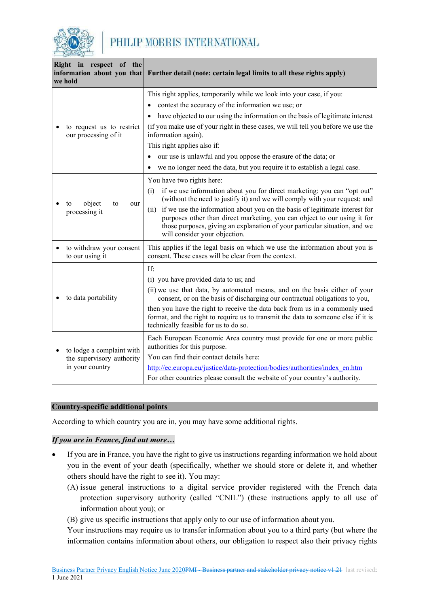

|                                                                           | Right in respect of the<br>information about you that<br>we hold | Further detail (note: certain legal limits to all these rights apply)                                                                                                                                                                                                       |
|---------------------------------------------------------------------------|------------------------------------------------------------------|-----------------------------------------------------------------------------------------------------------------------------------------------------------------------------------------------------------------------------------------------------------------------------|
|                                                                           |                                                                  | This right applies, temporarily while we look into your case, if you:                                                                                                                                                                                                       |
|                                                                           |                                                                  | contest the accuracy of the information we use; or<br>$\bullet$                                                                                                                                                                                                             |
|                                                                           |                                                                  | have objected to our using the information on the basis of legitimate interest                                                                                                                                                                                              |
|                                                                           | to request us to restrict<br>our processing of it                | (if you make use of your right in these cases, we will tell you before we use the<br>information again).                                                                                                                                                                    |
|                                                                           |                                                                  | This right applies also if:                                                                                                                                                                                                                                                 |
|                                                                           |                                                                  | our use is unlawful and you oppose the erasure of the data; or                                                                                                                                                                                                              |
|                                                                           |                                                                  | we no longer need the data, but you require it to establish a legal case.                                                                                                                                                                                                   |
|                                                                           |                                                                  | You have two rights here:                                                                                                                                                                                                                                                   |
|                                                                           | object<br>to<br>to<br>our<br>processing it                       | if we use information about you for direct marketing: you can "opt out"<br>(i)<br>(without the need to justify it) and we will comply with your request; and                                                                                                                |
|                                                                           |                                                                  | (ii) if we use the information about you on the basis of legitimate interest for<br>purposes other than direct marketing, you can object to our using it for<br>those purposes, giving an explanation of your particular situation, and we<br>will consider your objection. |
|                                                                           | to withdraw your consent<br>to our using it                      | This applies if the legal basis on which we use the information about you is<br>consent. These cases will be clear from the context.                                                                                                                                        |
|                                                                           |                                                                  | If:                                                                                                                                                                                                                                                                         |
|                                                                           |                                                                  | (i) you have provided data to us; and                                                                                                                                                                                                                                       |
|                                                                           | to data portability                                              | (ii) we use that data, by automated means, and on the basis either of your<br>consent, or on the basis of discharging our contractual obligations to you,                                                                                                                   |
|                                                                           |                                                                  | then you have the right to receive the data back from us in a commonly used<br>format, and the right to require us to transmit the data to someone else if it is<br>technically feasible for us to do so.                                                                   |
| to lodge a complaint with<br>the supervisory authority<br>in your country |                                                                  | Each European Economic Area country must provide for one or more public<br>authorities for this purpose.                                                                                                                                                                    |
|                                                                           | You can find their contact details here:                         |                                                                                                                                                                                                                                                                             |
|                                                                           |                                                                  | http://ec.europa.eu/justice/data-protection/bodies/authorities/index en.htm                                                                                                                                                                                                 |
|                                                                           |                                                                  | For other countries please consult the website of your country's authority.                                                                                                                                                                                                 |

#### Country-specific additional points

According to which country you are in, you may have some additional rights.

#### If you are in France, find out more…

- If you are in France, you have the right to give us instructions regarding information we hold about you in the event of your death (specifically, whether we should store or delete it, and whether others should have the right to see it). You may:
	- (A) issue general instructions to a digital service provider registered with the French data protection supervisory authority (called "CNIL") (these instructions apply to all use of information about you); or
	- (B) give us specific instructions that apply only to our use of information about you.

Your instructions may require us to transfer information about you to a third party (but where the information contains information about others, our obligation to respect also their privacy rights